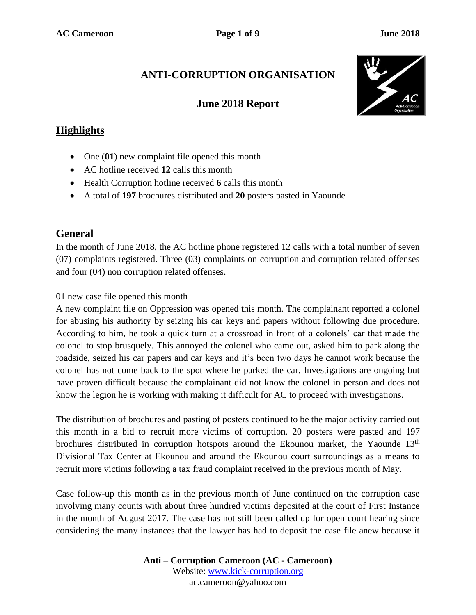# **ANTI-CORRUPTION ORGANISATION**

## **June 2018 Report**



## **Highlights**

- One (01) new complaint file opened this month
- AC hotline received **12** calls this month
- Health Corruption hotline received **6** calls this month
- A total of **197** brochures distributed and **20** posters pasted in Yaounde

## **General**

In the month of June 2018, the AC hotline phone registered 12 calls with a total number of seven (07) complaints registered. Three (03) complaints on corruption and corruption related offenses and four (04) non corruption related offenses.

#### 01 new case file opened this month

A new complaint file on Oppression was opened this month. The complainant reported a colonel for abusing his authority by seizing his car keys and papers without following due procedure. According to him, he took a quick turn at a crossroad in front of a colonels' car that made the colonel to stop brusquely. This annoyed the colonel who came out, asked him to park along the roadside, seized his car papers and car keys and it's been two days he cannot work because the colonel has not come back to the spot where he parked the car. Investigations are ongoing but have proven difficult because the complainant did not know the colonel in person and does not know the legion he is working with making it difficult for AC to proceed with investigations.

The distribution of brochures and pasting of posters continued to be the major activity carried out this month in a bid to recruit more victims of corruption. 20 posters were pasted and 197 brochures distributed in corruption hotspots around the Ekounou market, the Yaounde  $13<sup>th</sup>$ Divisional Tax Center at Ekounou and around the Ekounou court surroundings as a means to recruit more victims following a tax fraud complaint received in the previous month of May.

Case follow-up this month as in the previous month of June continued on the corruption case involving many counts with about three hundred victims deposited at the court of First Instance in the month of August 2017. The case has not still been called up for open court hearing since considering the many instances that the lawyer has had to deposit the case file anew because it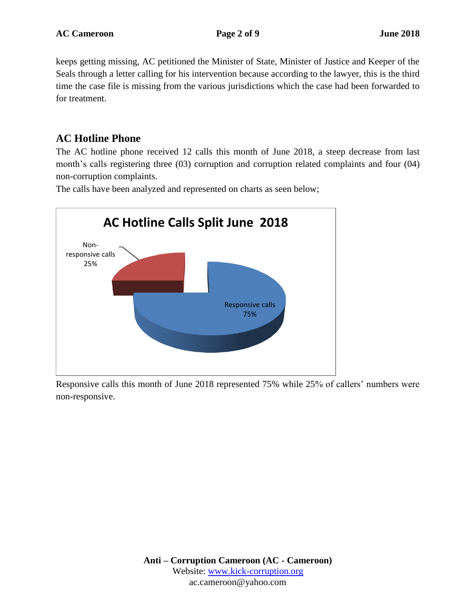keeps getting missing, AC petitioned the Minister of State, Minister of Justice and Keeper of the Seals through a letter calling for his intervention because according to the lawyer, this is the third time the case file is missing from the various jurisdictions which the case had been forwarded to for treatment.

## **AC Hotline Phone**

The AC hotline phone received 12 calls this month of June 2018, a steep decrease from last month's calls registering three (03) corruption and corruption related complaints and four (04) non-corruption complaints.

The calls have been analyzed and represented on charts as seen below;



Responsive calls this month of June 2018 represented 75% while 25% of callers' numbers were non-responsive.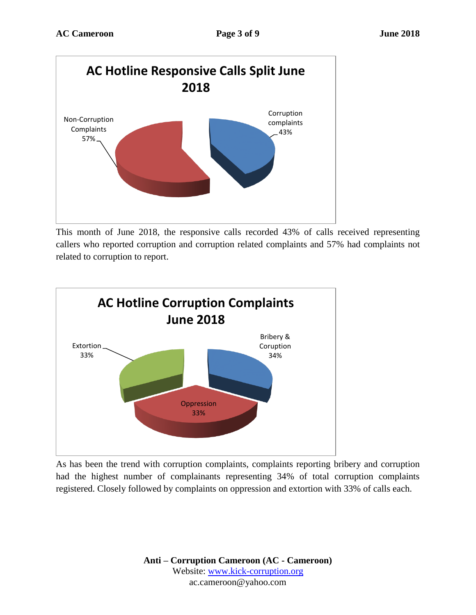

This month of June 2018, the responsive calls recorded 43% of calls received representing callers who reported corruption and corruption related complaints and 57% had complaints not related to corruption to report.



As has been the trend with corruption complaints, complaints reporting bribery and corruption had the highest number of complainants representing 34% of total corruption complaints registered. Closely followed by complaints on oppression and extortion with 33% of calls each.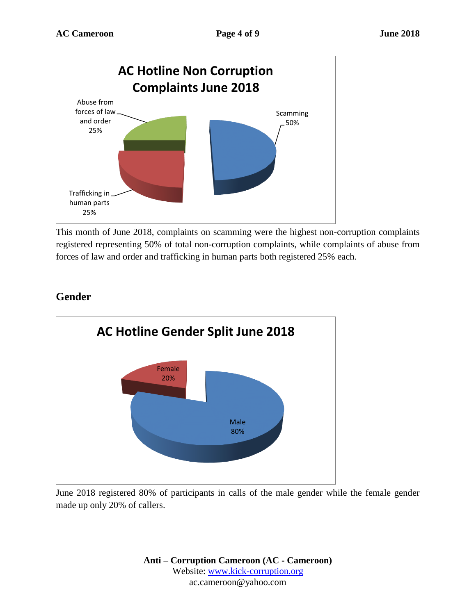

This month of June 2018, complaints on scamming were the highest non-corruption complaints registered representing 50% of total non-corruption complaints, while complaints of abuse from forces of law and order and trafficking in human parts both registered 25% each.

# **Gender**



June 2018 registered 80% of participants in calls of the male gender while the female gender made up only 20% of callers.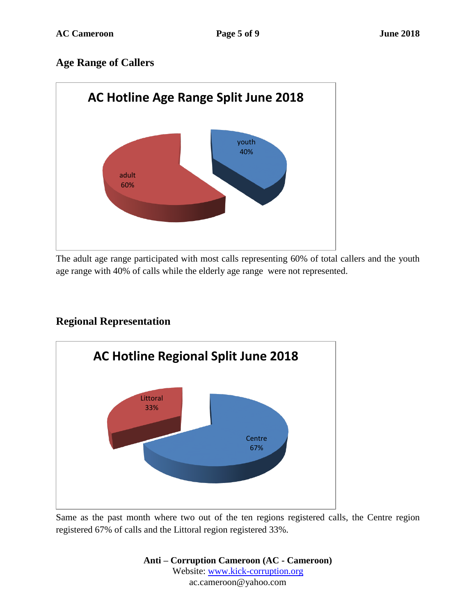# **Age Range of Callers**



The adult age range participated with most calls representing 60% of total callers and the youth age range with 40% of calls while the elderly age range were not represented.

# **Centre** 67% **Littoral** 33% **AC Hotline Regional Split June 2018**

**Regional Representation** 

Same as the past month where two out of the ten regions registered calls, the Centre region registered 67% of calls and the Littoral region registered 33%.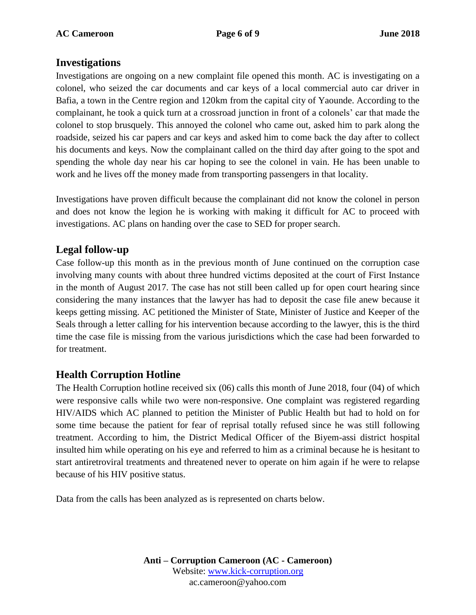#### **Investigations**

Investigations are ongoing on a new complaint file opened this month. AC is investigating on a colonel, who seized the car documents and car keys of a local commercial auto car driver in Bafia, a town in the Centre region and 120km from the capital city of Yaounde. According to the complainant, he took a quick turn at a crossroad junction in front of a colonels' car that made the colonel to stop brusquely. This annoyed the colonel who came out, asked him to park along the roadside, seized his car papers and car keys and asked him to come back the day after to collect his documents and keys. Now the complainant called on the third day after going to the spot and spending the whole day near his car hoping to see the colonel in vain. He has been unable to work and he lives off the money made from transporting passengers in that locality.

Investigations have proven difficult because the complainant did not know the colonel in person and does not know the legion he is working with making it difficult for AC to proceed with investigations. AC plans on handing over the case to SED for proper search.

## **Legal follow-up**

Case follow-up this month as in the previous month of June continued on the corruption case involving many counts with about three hundred victims deposited at the court of First Instance in the month of August 2017. The case has not still been called up for open court hearing since considering the many instances that the lawyer has had to deposit the case file anew because it keeps getting missing. AC petitioned the Minister of State, Minister of Justice and Keeper of the Seals through a letter calling for his intervention because according to the lawyer, this is the third time the case file is missing from the various jurisdictions which the case had been forwarded to for treatment.

## **Health Corruption Hotline**

The Health Corruption hotline received six (06) calls this month of June 2018, four (04) of which were responsive calls while two were non-responsive. One complaint was registered regarding HIV/AIDS which AC planned to petition the Minister of Public Health but had to hold on for some time because the patient for fear of reprisal totally refused since he was still following treatment. According to him, the District Medical Officer of the Biyem-assi district hospital insulted him while operating on his eye and referred to him as a criminal because he is hesitant to start antiretroviral treatments and threatened never to operate on him again if he were to relapse because of his HIV positive status.

Data from the calls has been analyzed as is represented on charts below.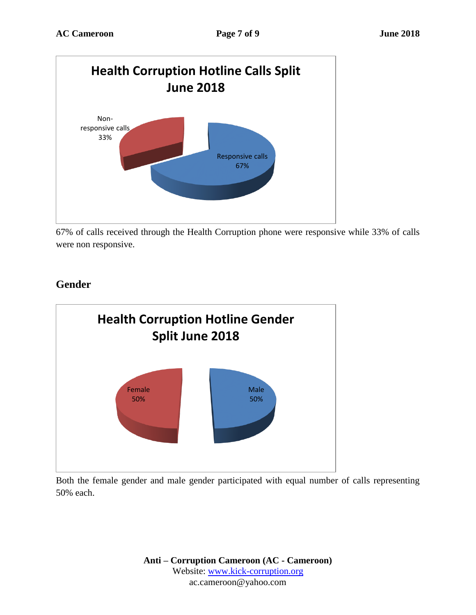

67% of calls received through the Health Corruption phone were responsive while 33% of calls were non responsive.



# **Gender**

Both the female gender and male gender participated with equal number of calls representing 50% each.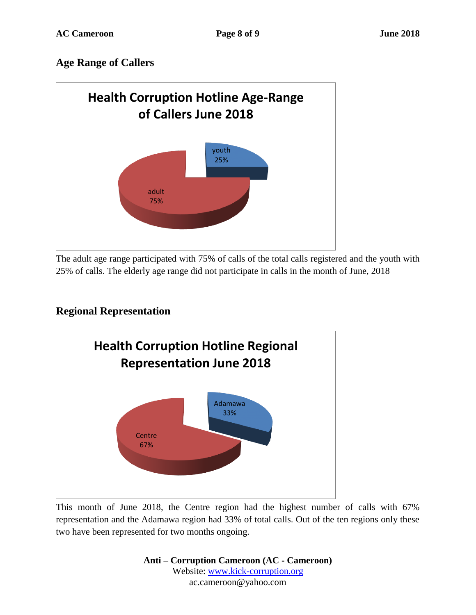# **Age Range of Callers**



The adult age range participated with 75% of calls of the total calls registered and the youth with 25% of calls. The elderly age range did not participate in calls in the month of June, 2018

# **Regional Representation**



This month of June 2018, the Centre region had the highest number of calls with 67% representation and the Adamawa region had 33% of total calls. Out of the ten regions only these two have been represented for two months ongoing.